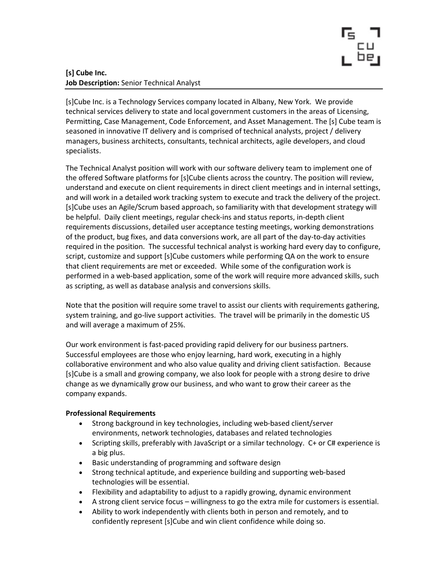

# [s] Cube Inc. Job Description: Senior Technical Analyst

[s]Cube Inc. is a Technology Services company located in Albany, New York. We provide technical services delivery to state and local government customers in the areas of Licensing, Permitting, Case Management, Code Enforcement, and Asset Management. The [s] Cube team is seasoned in innovative IT delivery and is comprised of technical analysts, project / delivery managers, business architects, consultants, technical architects, agile developers, and cloud specialists.

The Technical Analyst position will work with our software delivery team to implement one of the offered Software platforms for [s]Cube clients across the country. The position will review, understand and execute on client requirements in direct client meetings and in internal settings, and will work in a detailed work tracking system to execute and track the delivery of the project. [s]Cube uses an Agile/Scrum based approach, so familiarity with that development strategy will be helpful. Daily client meetings, regular check-ins and status reports, in-depth client requirements discussions, detailed user acceptance testing meetings, working demonstrations of the product, bug fixes, and data conversions work, are all part of the day-to-day activities required in the position. The successful technical analyst is working hard every day to configure, script, customize and support [s]Cube customers while performing QA on the work to ensure that client requirements are met or exceeded. While some of the configuration work is performed in a web-based application, some of the work will require more advanced skills, such as scripting, as well as database analysis and conversions skills.

Note that the position will require some travel to assist our clients with requirements gathering, system training, and go-live support activities. The travel will be primarily in the domestic US and will average a maximum of 25%.

Our work environment is fast-paced providing rapid delivery for our business partners. Successful employees are those who enjoy learning, hard work, executing in a highly collaborative environment and who also value quality and driving client satisfaction. Because [s]Cube is a small and growing company, we also look for people with a strong desire to drive change as we dynamically grow our business, and who want to grow their career as the company expands.

## Professional Requirements

- Strong background in key technologies, including web-based client/server environments, network technologies, databases and related technologies
- Scripting skills, preferably with JavaScript or a similar technology. C+ or C# experience is a big plus.
- Basic understanding of programming and software design
- Strong technical aptitude, and experience building and supporting web-based technologies will be essential.
- Flexibility and adaptability to adjust to a rapidly growing, dynamic environment
- A strong client service focus willingness to go the extra mile for customers is essential.
- Ability to work independently with clients both in person and remotely, and to confidently represent [s]Cube and win client confidence while doing so.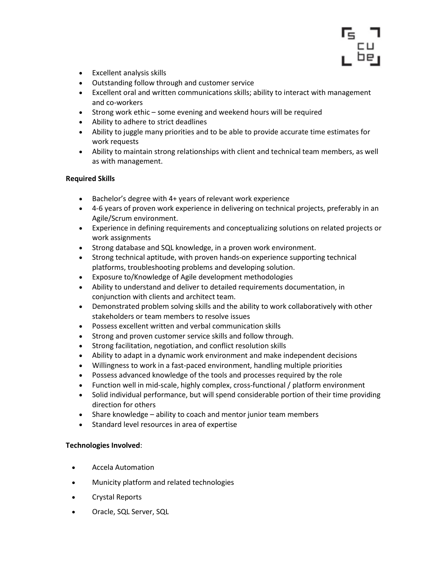

- Excellent analysis skills
- Outstanding follow through and customer service
- Excellent oral and written communications skills; ability to interact with management and co-workers
- Strong work ethic some evening and weekend hours will be required
- Ability to adhere to strict deadlines
- Ability to juggle many priorities and to be able to provide accurate time estimates for work requests
- Ability to maintain strong relationships with client and technical team members, as well as with management.

## Required Skills

- Bachelor's degree with 4+ years of relevant work experience
- 4-6 years of proven work experience in delivering on technical projects, preferably in an Agile/Scrum environment.
- Experience in defining requirements and conceptualizing solutions on related projects or work assignments
- Strong database and SQL knowledge, in a proven work environment.
- Strong technical aptitude, with proven hands-on experience supporting technical platforms, troubleshooting problems and developing solution.
- Exposure to/Knowledge of Agile development methodologies
- Ability to understand and deliver to detailed requirements documentation, in conjunction with clients and architect team.
- Demonstrated problem solving skills and the ability to work collaboratively with other stakeholders or team members to resolve issues
- Possess excellent written and verbal communication skills
- Strong and proven customer service skills and follow through.
- Strong facilitation, negotiation, and conflict resolution skills
- Ability to adapt in a dynamic work environment and make independent decisions
- Willingness to work in a fast-paced environment, handling multiple priorities
- Possess advanced knowledge of the tools and processes required by the role
- Function well in mid-scale, highly complex, cross-functional / platform environment
- Solid individual performance, but will spend considerable portion of their time providing direction for others
- Share knowledge ability to coach and mentor junior team members
- Standard level resources in area of expertise

## Technologies Involved:

- Accela Automation
- Municity platform and related technologies
- Crystal Reports
- Oracle, SQL Server, SQL